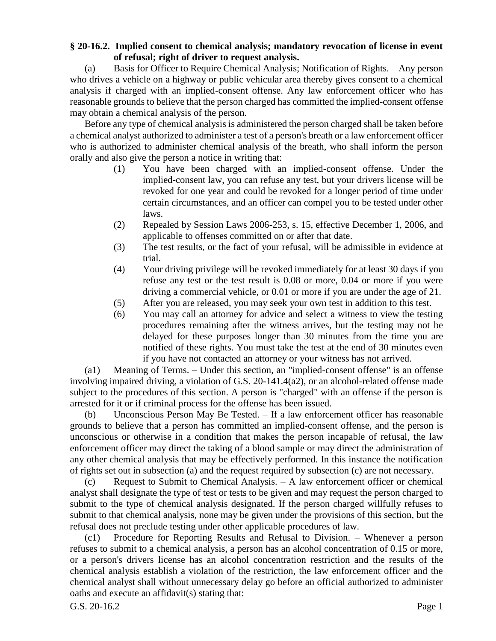## **§ 20-16.2. Implied consent to chemical analysis; mandatory revocation of license in event of refusal; right of driver to request analysis.**

(a) Basis for Officer to Require Chemical Analysis; Notification of Rights. – Any person who drives a vehicle on a highway or public vehicular area thereby gives consent to a chemical analysis if charged with an implied-consent offense. Any law enforcement officer who has reasonable grounds to believe that the person charged has committed the implied-consent offense may obtain a chemical analysis of the person.

Before any type of chemical analysis is administered the person charged shall be taken before a chemical analyst authorized to administer a test of a person's breath or a law enforcement officer who is authorized to administer chemical analysis of the breath, who shall inform the person orally and also give the person a notice in writing that:

- (1) You have been charged with an implied-consent offense. Under the implied-consent law, you can refuse any test, but your drivers license will be revoked for one year and could be revoked for a longer period of time under certain circumstances, and an officer can compel you to be tested under other laws.
- (2) Repealed by Session Laws 2006-253, s. 15, effective December 1, 2006, and applicable to offenses committed on or after that date.
- (3) The test results, or the fact of your refusal, will be admissible in evidence at trial.
- (4) Your driving privilege will be revoked immediately for at least 30 days if you refuse any test or the test result is 0.08 or more, 0.04 or more if you were driving a commercial vehicle, or 0.01 or more if you are under the age of 21.
- (5) After you are released, you may seek your own test in addition to this test.
- (6) You may call an attorney for advice and select a witness to view the testing procedures remaining after the witness arrives, but the testing may not be delayed for these purposes longer than 30 minutes from the time you are notified of these rights. You must take the test at the end of 30 minutes even if you have not contacted an attorney or your witness has not arrived.

(a1) Meaning of Terms. – Under this section, an "implied-consent offense" is an offense involving impaired driving, a violation of G.S. 20-141.4(a2), or an alcohol-related offense made subject to the procedures of this section. A person is "charged" with an offense if the person is arrested for it or if criminal process for the offense has been issued.

(b) Unconscious Person May Be Tested. – If a law enforcement officer has reasonable grounds to believe that a person has committed an implied-consent offense, and the person is unconscious or otherwise in a condition that makes the person incapable of refusal, the law enforcement officer may direct the taking of a blood sample or may direct the administration of any other chemical analysis that may be effectively performed. In this instance the notification of rights set out in subsection (a) and the request required by subsection (c) are not necessary.

(c) Request to Submit to Chemical Analysis. – A law enforcement officer or chemical analyst shall designate the type of test or tests to be given and may request the person charged to submit to the type of chemical analysis designated. If the person charged willfully refuses to submit to that chemical analysis, none may be given under the provisions of this section, but the refusal does not preclude testing under other applicable procedures of law.

(c1) Procedure for Reporting Results and Refusal to Division. – Whenever a person refuses to submit to a chemical analysis, a person has an alcohol concentration of 0.15 or more, or a person's drivers license has an alcohol concentration restriction and the results of the chemical analysis establish a violation of the restriction, the law enforcement officer and the chemical analyst shall without unnecessary delay go before an official authorized to administer oaths and execute an affidavit(s) stating that:

G.S. 20-16.2 Page 1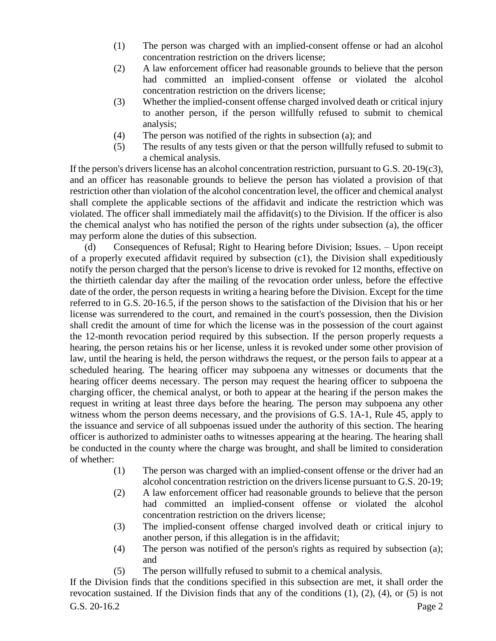- (1) The person was charged with an implied-consent offense or had an alcohol concentration restriction on the drivers license;
- (2) A law enforcement officer had reasonable grounds to believe that the person had committed an implied-consent offense or violated the alcohol concentration restriction on the drivers license;
- (3) Whether the implied-consent offense charged involved death or critical injury to another person, if the person willfully refused to submit to chemical analysis;
- (4) The person was notified of the rights in subsection (a); and
- (5) The results of any tests given or that the person willfully refused to submit to a chemical analysis.

If the person's drivers license has an alcohol concentration restriction, pursuant to G.S. 20-19(c3), and an officer has reasonable grounds to believe the person has violated a provision of that restriction other than violation of the alcohol concentration level, the officer and chemical analyst shall complete the applicable sections of the affidavit and indicate the restriction which was violated. The officer shall immediately mail the affidavit(s) to the Division. If the officer is also the chemical analyst who has notified the person of the rights under subsection (a), the officer may perform alone the duties of this subsection.

(d) Consequences of Refusal; Right to Hearing before Division; Issues. – Upon receipt of a properly executed affidavit required by subsection (c1), the Division shall expeditiously notify the person charged that the person's license to drive is revoked for 12 months, effective on the thirtieth calendar day after the mailing of the revocation order unless, before the effective date of the order, the person requests in writing a hearing before the Division. Except for the time referred to in G.S. 20-16.5, if the person shows to the satisfaction of the Division that his or her license was surrendered to the court, and remained in the court's possession, then the Division shall credit the amount of time for which the license was in the possession of the court against the 12-month revocation period required by this subsection. If the person properly requests a hearing, the person retains his or her license, unless it is revoked under some other provision of law, until the hearing is held, the person withdraws the request, or the person fails to appear at a scheduled hearing. The hearing officer may subpoena any witnesses or documents that the hearing officer deems necessary. The person may request the hearing officer to subpoena the charging officer, the chemical analyst, or both to appear at the hearing if the person makes the request in writing at least three days before the hearing. The person may subpoena any other witness whom the person deems necessary, and the provisions of G.S. 1A-1, Rule 45, apply to the issuance and service of all subpoenas issued under the authority of this section. The hearing officer is authorized to administer oaths to witnesses appearing at the hearing. The hearing shall be conducted in the county where the charge was brought, and shall be limited to consideration of whether:

- (1) The person was charged with an implied-consent offense or the driver had an alcohol concentration restriction on the drivers license pursuant to G.S. 20-19;
- (2) A law enforcement officer had reasonable grounds to believe that the person had committed an implied-consent offense or violated the alcohol concentration restriction on the drivers license;
- (3) The implied-consent offense charged involved death or critical injury to another person, if this allegation is in the affidavit;
- (4) The person was notified of the person's rights as required by subsection (a); and
- (5) The person willfully refused to submit to a chemical analysis.

G.S. 20-16.2 Page 2 If the Division finds that the conditions specified in this subsection are met, it shall order the revocation sustained. If the Division finds that any of the conditions (1), (2), (4), or (5) is not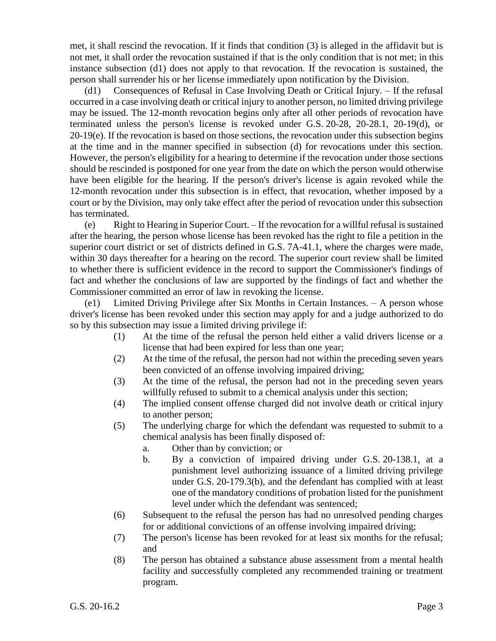met, it shall rescind the revocation. If it finds that condition (3) is alleged in the affidavit but is not met, it shall order the revocation sustained if that is the only condition that is not met; in this instance subsection (d1) does not apply to that revocation. If the revocation is sustained, the person shall surrender his or her license immediately upon notification by the Division.

(d1) Consequences of Refusal in Case Involving Death or Critical Injury. – If the refusal occurred in a case involving death or critical injury to another person, no limited driving privilege may be issued. The 12-month revocation begins only after all other periods of revocation have terminated unless the person's license is revoked under G.S. 20-28, 20-28.1, 20-19(d), or 20-19(e). If the revocation is based on those sections, the revocation under this subsection begins at the time and in the manner specified in subsection (d) for revocations under this section. However, the person's eligibility for a hearing to determine if the revocation under those sections should be rescinded is postponed for one year from the date on which the person would otherwise have been eligible for the hearing. If the person's driver's license is again revoked while the 12-month revocation under this subsection is in effect, that revocation, whether imposed by a court or by the Division, may only take effect after the period of revocation under this subsection has terminated.

(e) Right to Hearing in Superior Court. – If the revocation for a willful refusal is sustained after the hearing, the person whose license has been revoked has the right to file a petition in the superior court district or set of districts defined in G.S. 7A-41.1, where the charges were made, within 30 days thereafter for a hearing on the record. The superior court review shall be limited to whether there is sufficient evidence in the record to support the Commissioner's findings of fact and whether the conclusions of law are supported by the findings of fact and whether the Commissioner committed an error of law in revoking the license.

(e1) Limited Driving Privilege after Six Months in Certain Instances. – A person whose driver's license has been revoked under this section may apply for and a judge authorized to do so by this subsection may issue a limited driving privilege if:

- (1) At the time of the refusal the person held either a valid drivers license or a license that had been expired for less than one year;
- (2) At the time of the refusal, the person had not within the preceding seven years been convicted of an offense involving impaired driving;
- (3) At the time of the refusal, the person had not in the preceding seven years willfully refused to submit to a chemical analysis under this section;
- (4) The implied consent offense charged did not involve death or critical injury to another person;
- (5) The underlying charge for which the defendant was requested to submit to a chemical analysis has been finally disposed of:
	- a. Other than by conviction; or
	- b. By a conviction of impaired driving under G.S. 20-138.1, at a punishment level authorizing issuance of a limited driving privilege under G.S. 20-179.3(b), and the defendant has complied with at least one of the mandatory conditions of probation listed for the punishment level under which the defendant was sentenced;
- (6) Subsequent to the refusal the person has had no unresolved pending charges for or additional convictions of an offense involving impaired driving;
- (7) The person's license has been revoked for at least six months for the refusal; and
- (8) The person has obtained a substance abuse assessment from a mental health facility and successfully completed any recommended training or treatment program.